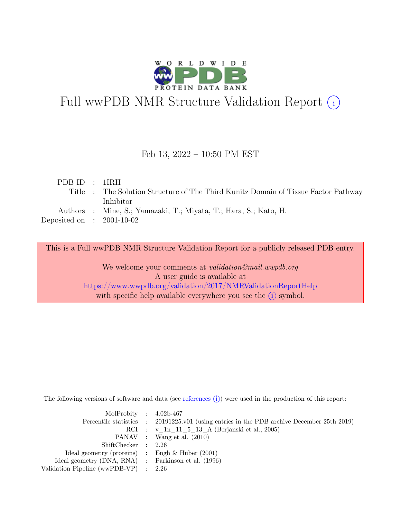

# Full wwPDB NMR Structure Validation Report (i)

#### Feb 13, 2022 – 10:50 PM EST

| PDBID : IIRH                |                                                                                    |
|-----------------------------|------------------------------------------------------------------------------------|
|                             | Title : The Solution Structure of The Third Kunitz Domain of Tissue Factor Pathway |
|                             | <b>Inhibitor</b>                                                                   |
|                             | Authors : Mine, S.; Yamazaki, T.; Miyata, T.; Hara, S.; Kato, H.                   |
| Deposited on : $2001-10-02$ |                                                                                    |
|                             |                                                                                    |

This is a Full wwPDB NMR Structure Validation Report for a publicly released PDB entry.

We welcome your comments at *validation@mail.wwpdb.org* A user guide is available at <https://www.wwpdb.org/validation/2017/NMRValidationReportHelp> with specific help available everywhere you see the  $(i)$  symbol.

The following versions of software and data (see [references](https://www.wwpdb.org/validation/2017/NMRValidationReportHelp#references)  $\hat{I}$ ) were used in the production of this report:

| MolProbity : $4.02b-467$                            |                                                                                            |
|-----------------------------------------------------|--------------------------------------------------------------------------------------------|
|                                                     | Percentile statistics : 20191225.v01 (using entries in the PDB archive December 25th 2019) |
|                                                     | RCI : v 1n 11 5 13 A (Berjanski et al., 2005)                                              |
|                                                     | PANAV : Wang et al. (2010)                                                                 |
| ShiftChecker : 2.26                                 |                                                                                            |
| Ideal geometry (proteins) : Engh $\&$ Huber (2001)  |                                                                                            |
| Ideal geometry (DNA, RNA) : Parkinson et al. (1996) |                                                                                            |
| Validation Pipeline (wwPDB-VP) $\therefore$ 2.26    |                                                                                            |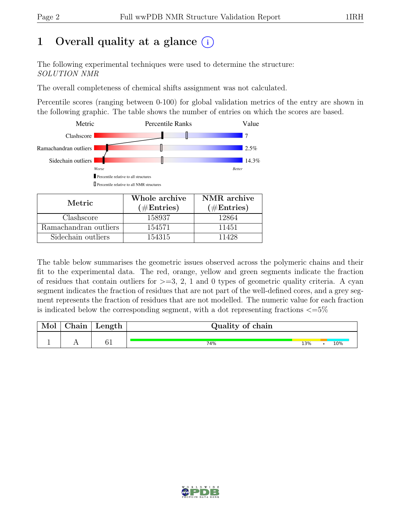## 1 Overall quality at a glance  $(i)$

The following experimental techniques were used to determine the structure: SOLUTION NMR

The overall completeness of chemical shifts assignment was not calculated.

Percentile scores (ranging between 0-100) for global validation metrics of the entry are shown in the following graphic. The table shows the number of entries on which the scores are based.



| Metric.               | Whole archive<br>$(\#Entries)$ | NMR archive<br>$(\#Entries)$ |  |  |
|-----------------------|--------------------------------|------------------------------|--|--|
| Clashscore            | 158937                         | 12864                        |  |  |
| Ramachandran outliers | 154571                         | 11451                        |  |  |
| Sidechain outliers    | 154315                         | 11428                        |  |  |

The table below summarises the geometric issues observed across the polymeric chains and their fit to the experimental data. The red, orange, yellow and green segments indicate the fraction of residues that contain outliers for  $>=$  3, 2, 1 and 0 types of geometric quality criteria. A cyan segment indicates the fraction of residues that are not part of the well-defined cores, and a grey segment represents the fraction of residues that are not modelled. The numeric value for each fraction is indicated below the corresponding segment, with a dot representing fractions  $\langle=5\%$ 

| Mol | Chain | Length | Quality of chain |     |  |     |  |
|-----|-------|--------|------------------|-----|--|-----|--|
|     |       | $\sim$ |                  |     |  |     |  |
|     |       |        | 74%              | 13% |  | 10% |  |

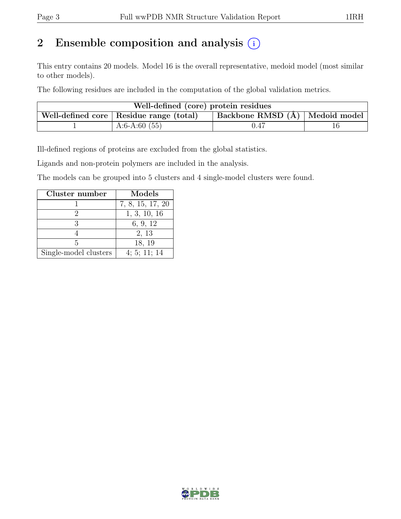## 2 Ensemble composition and analysis  $(i)$

This entry contains 20 models. Model 16 is the overall representative, medoid model (most similar to other models).

The following residues are included in the computation of the global validation metrics.

| Well-defined (core) protein residues                                        |                 |      |  |  |  |  |
|-----------------------------------------------------------------------------|-----------------|------|--|--|--|--|
| Backbone RMSD (Å) Medoid model<br>Well-defined core   Residue range (total) |                 |      |  |  |  |  |
|                                                                             | A:6-A:60 $(55)$ | 0.47 |  |  |  |  |

Ill-defined regions of proteins are excluded from the global statistics.

Ligands and non-protein polymers are included in the analysis.

The models can be grouped into 5 clusters and 4 single-model clusters were found.

| Cluster number        | Models           |
|-----------------------|------------------|
|                       | 7, 8, 15, 17, 20 |
|                       | 1, 3, 10, 16     |
|                       | 6, 9, 12         |
|                       | 2, 13            |
| Б                     | 18, 19           |
| Single-model clusters | 4; 5; 11; 14     |

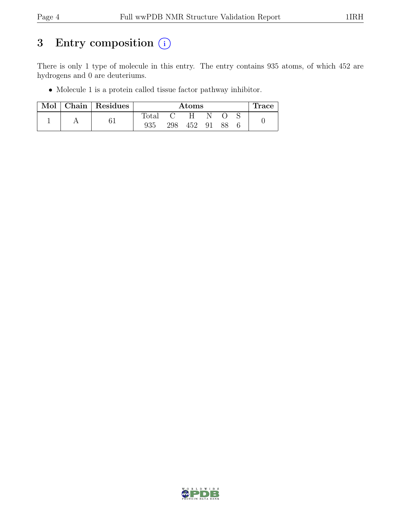## 3 Entry composition  $(i)$

There is only 1 type of molecule in this entry. The entry contains 935 atoms, of which 452 are hydrogens and 0 are deuteriums.

• Molecule 1 is a protein called tissue factor pathway inhibitor.

|  |  | Mol   Chain   Residues |                | Atoms |    |    |  | $\pm$ race |
|--|--|------------------------|----------------|-------|----|----|--|------------|
|  |  |                        | $_{\rm Total}$ |       | H  | N  |  |            |
|  |  | 935                    | 298            | 452   | 91 | 88 |  |            |

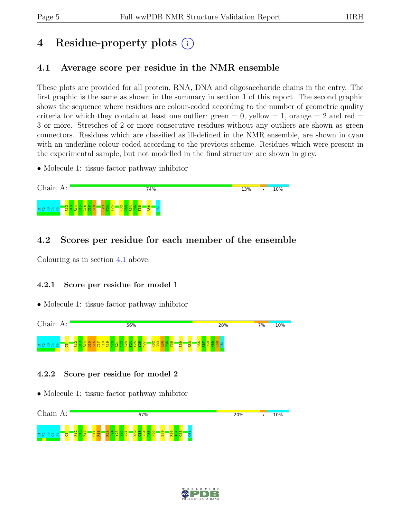# 4 Residue-property plots (i)

## <span id="page-4-0"></span>4.1 Average score per residue in the NMR ensemble

These plots are provided for all protein, RNA, DNA and oligosaccharide chains in the entry. The first graphic is the same as shown in the summary in section 1 of this report. The second graphic shows the sequence where residues are colour-coded according to the number of geometric quality criteria for which they contain at least one outlier:  $green = 0$ ,  $yellow = 1$ ,  $orange = 2$  and  $red =$ 3 or more. Stretches of 2 or more consecutive residues without any outliers are shown as green connectors. Residues which are classified as ill-defined in the NMR ensemble, are shown in cyan with an underline colour-coded according to the previous scheme. Residues which were present in the experimental sample, but not modelled in the final structure are shown in grey.

• Molecule 1: tissue factor pathway inhibitor



## 4.2 Scores per residue for each member of the ensemble

Colouring as in section [4.1](#page-4-0) above.

#### 4.2.1 Score per residue for model 1

• Molecule 1: tissue factor pathway inhibitor



#### 4.2.2 Score per residue for model 2



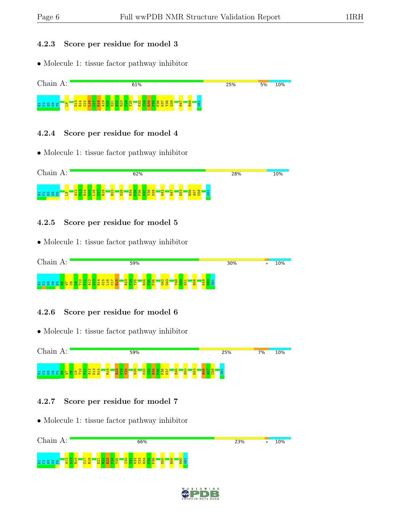#### 4.2.3 Score per residue for model 3

• Molecule 1: tissue factor pathway inhibitor



#### 4.2.4 Score per residue for model 4

• Molecule 1: tissue factor pathway inhibitor



#### 4.2.5 Score per residue for model 5

• Molecule 1: tissue factor pathway inhibitor



#### 4.2.6 Score per residue for model 6

• Molecule 1: tissue factor pathway inhibitor



#### 4.2.7 Score per residue for model 7



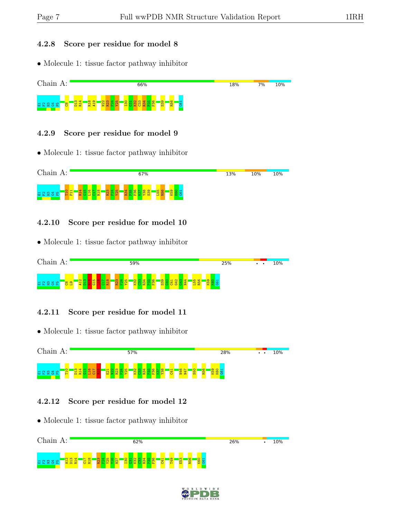#### 4.2.8 Score per residue for model 8

• Molecule 1: tissue factor pathway inhibitor



#### 4.2.9 Score per residue for model 9

• Molecule 1: tissue factor pathway inhibitor



#### 4.2.10 Score per residue for model 10

• Molecule 1: tissue factor pathway inhibitor



#### 4.2.11 Score per residue for model 11

• Molecule 1: tissue factor pathway inhibitor



#### 4.2.12 Score per residue for model 12



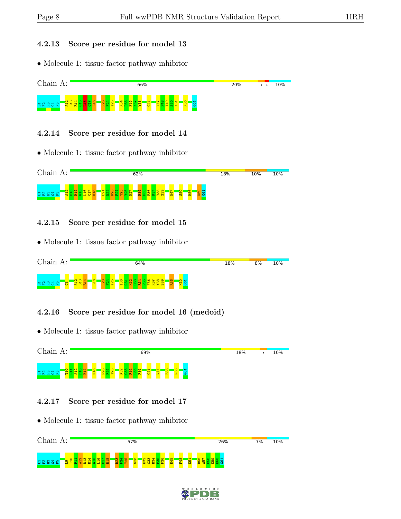#### 4.2.13 Score per residue for model 13

• Molecule 1: tissue factor pathway inhibitor



#### 4.2.14 Score per residue for model 14

• Molecule 1: tissue factor pathway inhibitor



#### 4.2.15 Score per residue for model 15

• Molecule 1: tissue factor pathway inhibitor



#### 4.2.16 Score per residue for model 16 (medoid)

• Molecule 1: tissue factor pathway inhibitor



#### 4.2.17 Score per residue for model 17



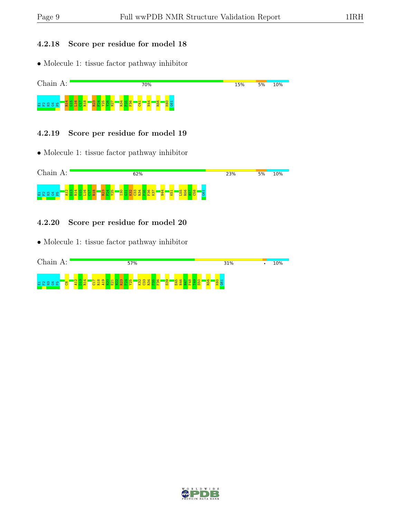#### 4.2.18 Score per residue for model 18

• Molecule 1: tissue factor pathway inhibitor



#### 4.2.19 Score per residue for model 19

• Molecule 1: tissue factor pathway inhibitor



#### 4.2.20 Score per residue for model 20

| Chain<br>$A$ :         | 57%            | 31% | 10% |
|------------------------|----------------|-----|-----|
| 룹 운<br>₩<br>စ္ပ<br>ം പ | <u>ာ</u><br>ίó |     |     |

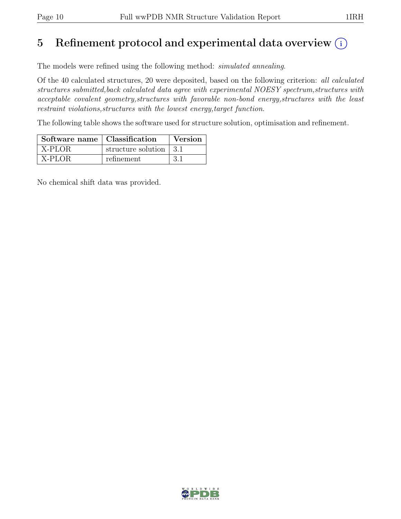## 5 Refinement protocol and experimental data overview  $(i)$

The models were refined using the following method: simulated annealing.

Of the 40 calculated structures, 20 were deposited, based on the following criterion: all calculated structures submitted,back calculated data agree with experimental NOESY spectrum,structures with acceptable covalent geometry,structures with favorable non-bond energy,structures with the least restraint violations, structures with the lowest energy, target function.

The following table shows the software used for structure solution, optimisation and refinement.

| Software name   Classification |                          | Version |
|--------------------------------|--------------------------|---------|
| X-PLOR                         | structure solution   3.1 |         |
| X-PLOR                         | refinement               | -3.1    |

No chemical shift data was provided.

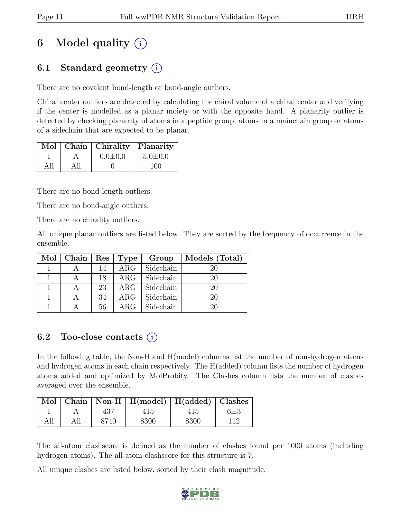# 6 Model quality  $(i)$

## 6.1 Standard geometry (i)

There are no covalent bond-length or bond-angle outliers.

Chiral center outliers are detected by calculating the chiral volume of a chiral center and verifying if the center is modelled as a planar moiety or with the opposite hand. A planarity outlier is detected by checking planarity of atoms in a peptide group, atoms in a mainchain group or atoms of a sidechain that are expected to be planar.

|  | Mol   Chain   Chirality   Planarity |               |
|--|-------------------------------------|---------------|
|  | $0.0 \pm 0.0$                       | $5.0 \pm 0.0$ |
|  |                                     | 100           |

There are no bond-length outliers.

There are no bond-angle outliers.

There are no chirality outliers.

All unique planar outliers are listed below. They are sorted by the frequency of occurrence in the ensemble.

| $Mol$   Chain | $Res \mid$ | Type       | Group     | Models (Total) |
|---------------|------------|------------|-----------|----------------|
|               | 14         | $\rm{ARG}$ | Sidechain | 20             |
|               | 18         | $\rm{ARG}$ | Sidechain | 20             |
|               | 23         | $\rm{ARG}$ | Sidechain | 20             |
|               | 34         | $\rm{ARG}$ | Sidechain | 20             |
|               | 56         | $\rm{ARG}$ | Sidechain | 20             |

## 6.2 Too-close contacts  $(i)$

In the following table, the Non-H and H(model) columns list the number of non-hydrogen atoms and hydrogen atoms in each chain respectively. The H(added) column lists the number of hydrogen atoms added and optimized by MolProbity. The Clashes column lists the number of clashes averaged over the ensemble.

|  |      | Mol   Chain   Non-H   H(model)   H(added)   Clashes |      |  |
|--|------|-----------------------------------------------------|------|--|
|  |      |                                                     |      |  |
|  | 8740 | 8300                                                | 8300 |  |

The all-atom clashscore is defined as the number of clashes found per 1000 atoms (including hydrogen atoms). The all-atom clashscore for this structure is 7.

All unique clashes are listed below, sorted by their clash magnitude.

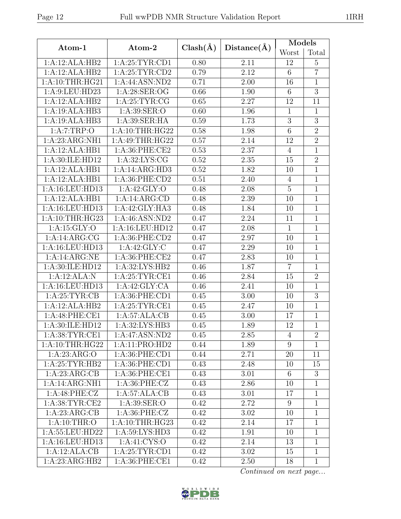|                             |                  |              |             | Models           |                |  |
|-----------------------------|------------------|--------------|-------------|------------------|----------------|--|
| Atom-1                      | Atom-2           | $Clash(\AA)$ | Distance(A) | Worst            | Total          |  |
| 1:A:12:ALA:HB2              | 1: A:25:TYR:CD1  | 0.80         | 2.11        | 12               | $\overline{5}$ |  |
| 1:A:12:ALA:HB2              | 1: A:25:TYR:CD2  | 0.79         | 2.12        | $6\,$            | $\overline{7}$ |  |
| 1:A:10:THR:HG21             | 1:A:44:ASN:ND2   | 0.71         | 2.00        | 16               | $\mathbf{1}$   |  |
| 1: A:9: LEU: HD23           | 1: A:28: SER:OG  | 0.66         | 1.90        | $6\,$            | $\overline{3}$ |  |
| 1:A:12:ALA:HB2              | 1: A:25:TYR:CG   | 0.65         | 2.27        | 12               | 11             |  |
| 1:A:19:ALA:HB3              | 1:A:39:SER:O     | 0.60         | 1.96        | $\mathbf{1}$     | $\mathbf{1}$   |  |
| 1:A:19:ALA:HB3              | 1: A:39: SER: HA | 0.59         | 1.73        | $\boldsymbol{3}$ | 3              |  |
| 1:A:7:TRP:O                 | 1: A:10:THR:HG22 | 0.58         | 1.98        | $\overline{6}$   | $\overline{2}$ |  |
| 1:A:23:ARG:NH1              | 1: A:49:THR:HG22 | 0.57         | 2.14        | 12               | $\overline{2}$ |  |
| 1:A:12:ALA:HB1              | 1:A:36:PHE:CE2   | 0.53         | 2.37        | $\overline{4}$   | $\overline{1}$ |  |
| 1:A:30:ILE:HD12             | 1: A:32: LYS: CG | 0.52         | 2.35        | 15               | $\overline{2}$ |  |
| 1:A:12:ALA:HB1              | 1:A:14:ARG:HD3   | 0.52         | 1.82        | 10               | $\mathbf{1}$   |  |
| 1:A:12:ALA:HB1              | 1:A:36:PHE:CD2   | 0.51         | 2.40        | $\overline{4}$   | $\mathbf{1}$   |  |
| 1:A:16:LEU:HD13             | 1:A:42:GLY:O     | 0.48         | 2.08        | $\overline{5}$   | $\overline{1}$ |  |
| 1:A:12:ALA:HB1              | 1:A:14:ARG:CD    | 0.48         | 2.39        | 10               | $\mathbf 1$    |  |
| 1:A:16:LEU:HD13             | 1:A:42:GLY:HA3   | 0.48         | 1.84        | 10               | $\mathbf{1}$   |  |
| 1: A:10:THR:HG23            | 1: A:46: ASN:ND2 | 0.47         | 2.24        | 11               | $\mathbf{1}$   |  |
| 1: A:15: GLY:O              | 1:A:16:LEU:HD12  | 0.47         | 2.08        | $\mathbf{1}$     | $\mathbf{1}$   |  |
| 1:A:14:ARG:CG               | 1:A:36:PHE:CD2   | 0.47         | 2.97        | 10               | $\mathbf{1}$   |  |
| 1:A:16:LEU:HD13             | 1:A:42:GLY:C     | 0.47         | 2.29        | 10               | $\overline{1}$ |  |
| 1:A:14:ARG:NE               | 1: A:36: PHE:CE2 | 0.47         | 2.83        | 10               | $\mathbf{1}$   |  |
| 1:A:30:ILE:HD12             | 1:A:32:LYS:HB2   | 0.46         | 1.87        | $\overline{7}$   | $\mathbf{1}$   |  |
| 1:A:12:ALA:N                | 1: A:25:TYR:CE1  | 0.46         | 2.84        | 15               | $\overline{2}$ |  |
| 1:A:16:LEU:HD13             | 1:A:42:GLY:CA    | 0.46         | 2.41        | 10               | $\overline{1}$ |  |
| 1: A:25:TYR:CB              | 1: A:36: PHE:CD1 | 0.45         | 3.00        | 10               | $\overline{3}$ |  |
| 1:A:12:ALA:HB2              | 1: A:25:TYR:CE1  | 0.45         | 2.47        | 10               | $\mathbf{1}$   |  |
| 1:A:48:PHE:CE1              | 1:A:57:ALA:CB    | 0.45         | 3.00        | 17               | $\mathbf{1}$   |  |
| 1:A:30:ILE:HD12             | 1:A:32:LYS:HB3   | 0.45         | 1.89        | 12               | $\mathbf{1}$   |  |
| 1: A:38:TYR:CE1             | 1:A:47:ASN:ND2   | 0.45         | 2.85        | $\overline{4}$   | $\overline{2}$ |  |
| 1: A:10:THR:HG22            | 1:A:11:PRO:HD2   | 0.44         | 1.89        | 9                | $\mathbf 1$    |  |
| 1:A:23:ARG:O                | 1: A:36: PHE:CD1 | 0.44         | 2.71        | 20               | 11             |  |
| 1: A:25:TYR:HB2             | 1:A:36:PHE:CD1   | 0.43         | 2.48        | 10               | 15             |  |
| $1:A:23:AR\overline{G:CB}$  | 1:A:36:PHE:CE1   | 0.43         | 3.01        | 6                | $\overline{3}$ |  |
| $1:A:14:ARG:\overline{NH1}$ | 1: A:36: PHE: CZ | 0.43         | 2.86        | 10               | 1              |  |
| 1:A:48:PHE:CZ               | 1:A:57:ALA:CB    | 0.43         | 3.01        | 17               | $\mathbf{1}$   |  |
| 1: A:38: TYR: CE2           | 1: A:39: SER:O   | 0.42         | 2.72        | 9                | $\mathbf{1}$   |  |
| 1:A:23:ARG:CB               | 1: A:36: PHE: CZ | 0.42         | 3.02        | 10               | $\mathbf{1}$   |  |
| 1: A:10:THR:O               | 1: A:10:THR:HG23 | 0.42         | 2.14        | 17               | $\mathbf{1}$   |  |
| 1:A:55:LEU:HD22             | 1:A:59:LYS:HD3   | 0.42         | 1.91        | 10               | $\mathbf{1}$   |  |
| 1: A:16: LEU: HD13          | 1: A:41: CYS:O   | 0.42         | 2.14        | 13               | 1              |  |
| 1:A:12:ALA:CB               | 1: A:25:TYR:CD1  | 0.42         | 3.02        | 15               | $\mathbf{1}$   |  |
| 1:A:23:ARG:HB2              | 1:A:36:PHE:CE1   | 0.42         | 2.50        | 18               | $\mathbf{1}$   |  |

Continued on next page...

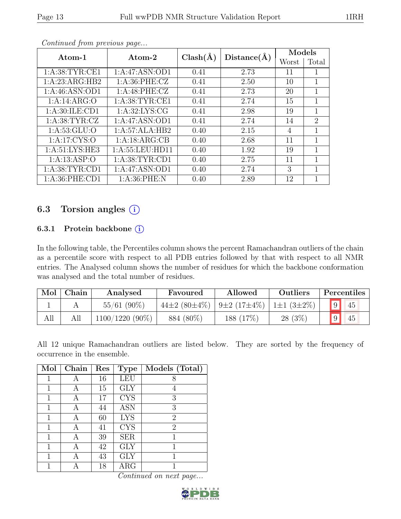|                   | $Clash(\AA)$<br>Atom-2<br>Atom-1 |      | Distance(A) | Models |                             |
|-------------------|----------------------------------|------|-------------|--------|-----------------------------|
|                   |                                  |      |             | Worst  | Total                       |
| 1:A:38:TYR:CE1    | 1:A:47:ASN:OD1                   | 0.41 | 2.73        | 11     |                             |
| 1:A:23:ARG:HB2    | 1: A:36: PHE: CZ                 | 0.41 | 2.50        | 10     | 1                           |
| 1:A:46:ASN:OD1    | 1: A:48: PHE: CZ                 | 0.41 | 2.73        | 20     | 1                           |
| 1:A:14:ARG:O      | 1: A:38: TYR: CE1                | 0.41 | 2.74        | 15     | 1                           |
| 1: A:30: ILE: CD1 | 1: A:32: LYS: CG                 | 0.41 | 2.98        | 19     | 1                           |
| 1: A:38:TYR:CZ    | 1:A:47:ASN:OD1                   | 0.41 | 2.74        | 14     | $\mathcal{D}_{\mathcal{L}}$ |
| 1: A:53: GLU:O    | 1:A:57:ALA:HB2                   | 0.40 | 2.15        | 4      | 1                           |
| 1:A:17:CYS:O      | 1:A:18:ARG:CB                    | 0.40 | 2.68        | 11     | 1                           |
| 1: A:51: LYS: HE3 | 1: A:55:LEU:HD11                 | 0.40 | 1.92        | 19     | 1                           |
| 1: A: 13: ASP: O  | 1: A:38: TYR: CD1                | 0.40 | 2.75        | 11     | 1                           |
| 1: A:38: TYR: CD1 | $1:A:47:ASN:O\overline{D1}$      | 0.40 | 2.74        | 3      | 1                           |
| 1: A:36: PHE:CD1  | 1: A:36: PHE:N                   | 0.40 | 2.89        | 12     |                             |

Continued from previous page...

## 6.3 Torsion angles (i)

#### 6.3.1 Protein backbone (i)

In the following table, the Percentiles column shows the percent Ramachandran outliers of the chain as a percentile score with respect to all PDB entries followed by that with respect to all NMR entries. The Analysed column shows the number of residues for which the backbone conformation was analysed and the total number of residues.

| Mol | Chain | Analysed        | Favoured                   | Allowed           | Outliers         |   | Percentiles |
|-----|-------|-----------------|----------------------------|-------------------|------------------|---|-------------|
|     |       | $55/61(90\%)$   | 44 $\pm 2$ (80 $\pm 4\%$ ) | $9\pm2(17\pm4\%)$ | $1\pm1(3\pm2\%)$ |   | 45          |
| All |       | 1100/1220 (90%) | 884 (80%)                  | 188 (17%)         | $28(3\%)$        | 9 | 45          |

All 12 unique Ramachandran outliers are listed below. They are sorted by the frequency of occurrence in the ensemble.

| Mol | Chain | Res | <b>Type</b> | Models (Total) |
|-----|-------|-----|-------------|----------------|
| 1   | А     | 16  | LEU         | 8              |
| 1   | А     | 15  | <b>GLY</b>  | 4              |
| 1   | А     | 17  | <b>CYS</b>  | 3              |
| 1   | А     | 44  | <b>ASN</b>  | 3              |
| 1   | А     | 60  | <b>LYS</b>  | $\overline{2}$ |
| 1   | А     | 41  | <b>CYS</b>  | $\overline{2}$ |
| 1   | А     | 39  | <b>SER</b>  | 1              |
| 1   | А     | 42  | <b>GLY</b>  | 1              |
| 1   | А     | 43  | <b>GLY</b>  | 1              |
|     |       | 18  | $\rm{ARG}$  |                |

Continued on next page...

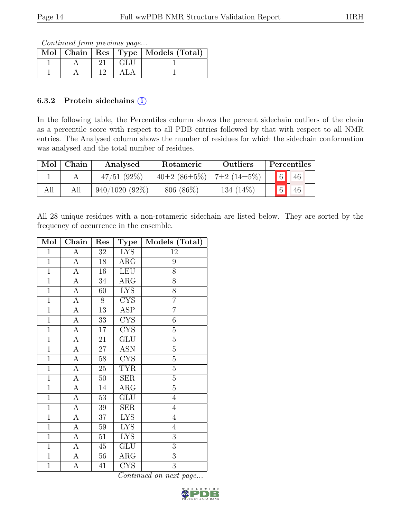Continued from previous page...

|  |     | Mol   Chain   Res   Type   Models (Total) |
|--|-----|-------------------------------------------|
|  | GLU |                                           |
|  |     |                                           |

#### 6.3.2 Protein sidechains  $(i)$

In the following table, the Percentiles column shows the percent sidechain outliers of the chain as a percentile score with respect to all PDB entries followed by that with respect to all NMR entries. The Analysed column shows the number of residues for which the sidechain conformation was analysed and the total number of residues.

| Mol | Chain | Analysed         | Rotameric          | Outliers          | Percentiles          |
|-----|-------|------------------|--------------------|-------------------|----------------------|
|     |       | 47/51(92%)       | $40\pm2(86\pm5\%)$ | $7\pm2(14\pm5\%)$ | $6\vert$<br>46       |
| All | All   | $940/1020(92\%)$ | $806~(86\%)$       | 134 (14\%)        | $\overline{6}$<br>46 |

All 28 unique residues with a non-rotameric sidechain are listed below. They are sorted by the frequency of occurrence in the ensemble.

| Mol            | Chain          | Res             | Type                    | Models (Total) |
|----------------|----------------|-----------------|-------------------------|----------------|
| $\mathbf{1}$   | А              | $\overline{3}2$ | <b>LYS</b>              | 12             |
| $\overline{1}$ | $\overline{A}$ | 18              | $\rm{ARG}$              | 9              |
| $\overline{1}$ | $\overline{A}$ | 16              | <b>LEU</b>              | $\overline{8}$ |
| $\overline{1}$ | $\overline{A}$ | 34              | $\rm{ARG}$              | 8              |
| $\mathbf{1}$   | A              | 60              | <b>LYS</b>              | 8              |
| $\overline{1}$ | $\overline{A}$ | 8               | CYS                     | $\overline{7}$ |
| $\mathbf{1}$   | A              | $13\,$          | ASP                     | $\overline{7}$ |
| $\overline{1}$ | $\overline{A}$ | 33              | $\overline{\text{CYS}}$ | $\sqrt{6}$     |
| $\mathbf 1$    | А              | $17\,$          | <b>CYS</b>              | $\rm 5$        |
| $\mathbf{1}$   | A              | 21              | $GL\overline{U}$        | $\overline{5}$ |
| $\mathbf{1}$   | A              | $\overline{27}$ | <b>ASN</b>              | $\overline{5}$ |
| $\mathbf{1}$   | A              | 58              | <b>CYS</b>              | $\overline{5}$ |
| $\overline{1}$ | $\overline{A}$ | $\overline{25}$ | <b>TYR</b>              | $\overline{5}$ |
| $\overline{1}$ | A              | 50              | <b>SER</b>              | $\overline{5}$ |
| $\overline{1}$ | $\overline{A}$ | 14              | $\overline{\rm{ARG}}$   | $\overline{5}$ |
| $\mathbf{1}$   | $\overline{A}$ | 53              | GLU                     | $\overline{4}$ |
| $\mathbf{1}$   | $\overline{A}$ | 39              | <b>SER</b>              | $\overline{4}$ |
| $\overline{1}$ | $\overline{A}$ | 37              | <b>LYS</b>              | $\overline{4}$ |
| $\mathbf{1}$   | А              | 59              | <b>LYS</b>              | $\overline{4}$ |
| $\overline{1}$ | $\overline{A}$ | $\overline{51}$ | <b>LYS</b>              | $\overline{3}$ |
| $\mathbf{1}$   | А              | $45\,$          | GLU                     | 3              |
| $\mathbf{1}$   | A              | 56              | $\rm{ARG}$              | $\overline{3}$ |
| $\overline{1}$ | А              | 41              | $\overline{\text{CYS}}$ | $\overline{3}$ |

Continued on next page...

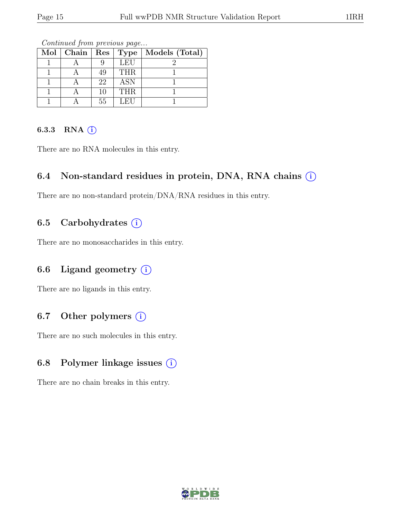| $Mol$   Chain | Res' | <b>Type</b> | Models (Total) |
|---------------|------|-------------|----------------|
|               |      | LEU         |                |
|               | 49   | <b>THR</b>  |                |
|               | 22   | <b>ASN</b>  |                |
|               | 10   | <b>THR</b>  |                |
|               | 55   | LEU         |                |

Continued from previous page...

### 6.3.3 RNA  $(i)$

There are no RNA molecules in this entry.

### 6.4 Non-standard residues in protein, DNA, RNA chains  $(i)$

There are no non-standard protein/DNA/RNA residues in this entry.

### 6.5 Carbohydrates  $(i)$

There are no monosaccharides in this entry.

## 6.6 Ligand geometry  $(i)$

There are no ligands in this entry.

### 6.7 Other polymers  $(i)$

There are no such molecules in this entry.

### 6.8 Polymer linkage issues  $(i)$

There are no chain breaks in this entry.